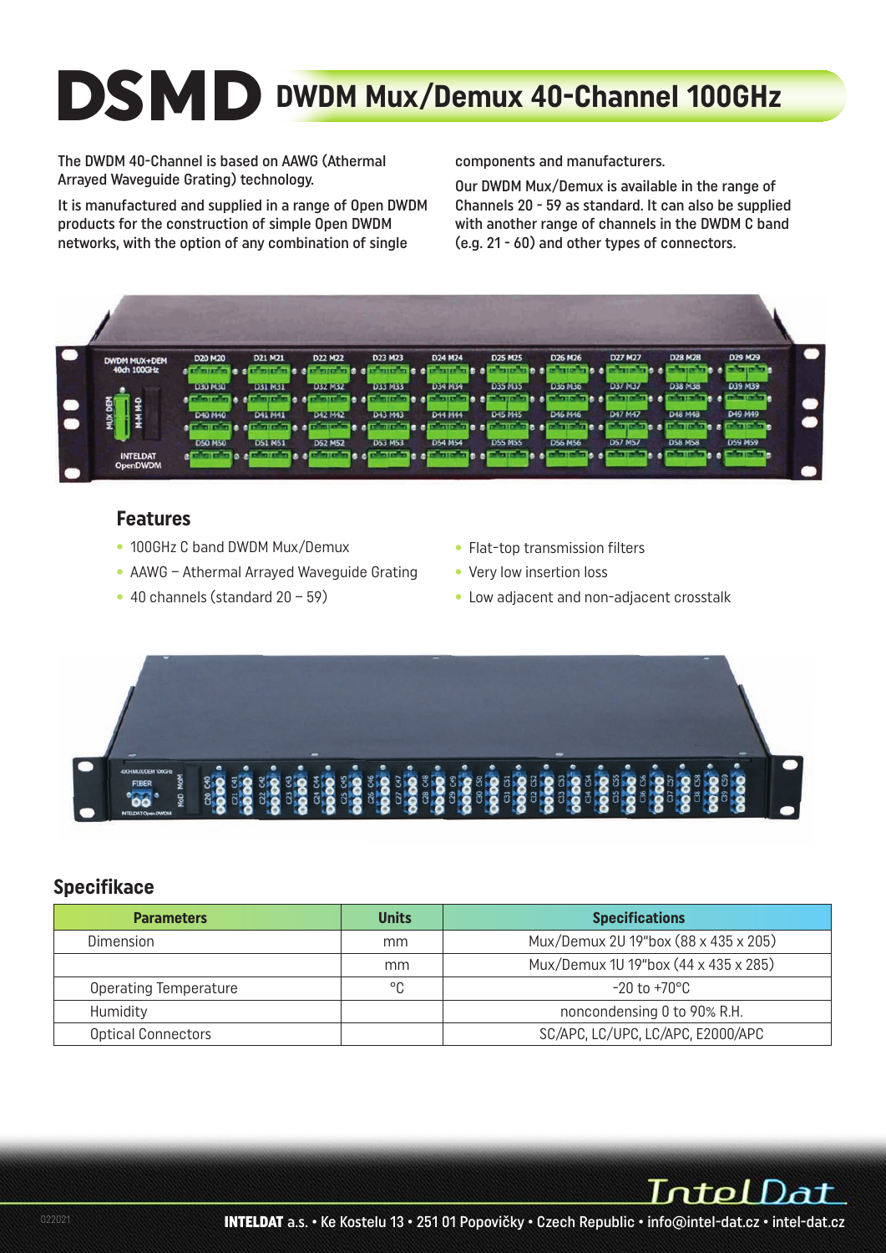# **DSMD DWDM Mux/Demux 40-Channel 100GHz**

The DWDM 40-Channel is based on AAWG (Athermal Arrayed Waveguide Grating) technology.

It is manufactured and supplied in a range of Open DWDM products for the construction of simple Open DWDM networks, with the option of any combination of single

components and manufacturers.

Our DWDM Mux/Demux is available in the range of Channels 20 - 59 as standard. It can also be supplied with another range of channels in the DWDM C band (e.g. 21 - 60) and other types of connectors.



#### **Features**

- 100GHz C band DWDM Mux/Demux
- AAWG Athermal Arrayed Waveguide Grating
- 40 channels (standard 20 59)
- Flat-top transmission filters
- Very low insertion loss
- Low adjacent and non-adjacent crosstalk



#### **Specifikace**

| <b>Parameters</b>            | <b>Units</b> | <b>Specifications</b>                |  |  |  |
|------------------------------|--------------|--------------------------------------|--|--|--|
| Dimension                    | mm           | Mux/Demux 2U 19"box (88 x 435 x 205) |  |  |  |
|                              | mm           | Mux/Demux 1U 19"box (44 x 435 x 285) |  |  |  |
| <b>Operating Temperature</b> | °C           | $-20$ to $+70^{\circ}$ C             |  |  |  |
| Humidity                     |              | noncondensing 0 to 90% R.H.          |  |  |  |
| Optical Connectors           |              | SC/APC, LC/UPC, LC/APC, E2000/APC    |  |  |  |